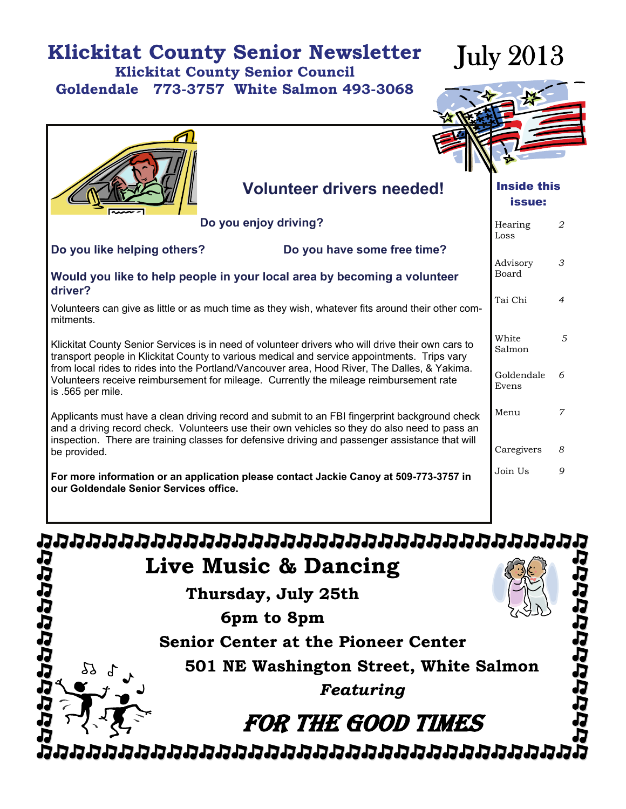#### **Klickitat County Senior Newsletter Klickitat County Senior Council**

**Goldendale 773-3757 White Salmon 493-3068** 

July 2013



 *5* 

*8* 

*9* 

#### Hearing Loss *2*  Advisory Board *3*  Tai Chi *4*  **White** Salmon Goldendale Evens *6*  Menu *7*  Caregivers Join Us Inside this issue: **Volunteer drivers needed! Do you enjoy driving? Do you like helping others? Do you have some free time? Would you like to help people in your local area by becoming a volunteer driver?**  Volunteers can give as little or as much time as they wish, whatever fits around their other commitments. Klickitat County Senior Services is in need of volunteer drivers who will drive their own cars to transport people in Klickitat County to various medical and service appointments. Trips vary from local rides to rides into the Portland/Vancouver area, Hood River, The Dalles, & Yakima. Volunteers receive reimbursement for mileage. Currently the mileage reimbursement rate is .565 per mile. Applicants must have a clean driving record and submit to an FBI fingerprint background check and a driving record check. Volunteers use their own vehicles so they do also need to pass an inspection. There are training classes for defensive driving and passenger assistance that will be provided. **For more information or an application please contact Jackie Canoy at 509-773-3757 in our Goldendale Senior Services office.**

הממממממממממממממממממממממממממ りっしゅうけいせい **Live Music & Dancing Thursday, July 25th**  ことさけたたたい **6pm to 8pm Senior Center at the Pioneer Center 501 NE Washington Street, White Salmon**  77 *Featuring*  FOR THE GOOD TIMES ממממממממממממממממממממממממו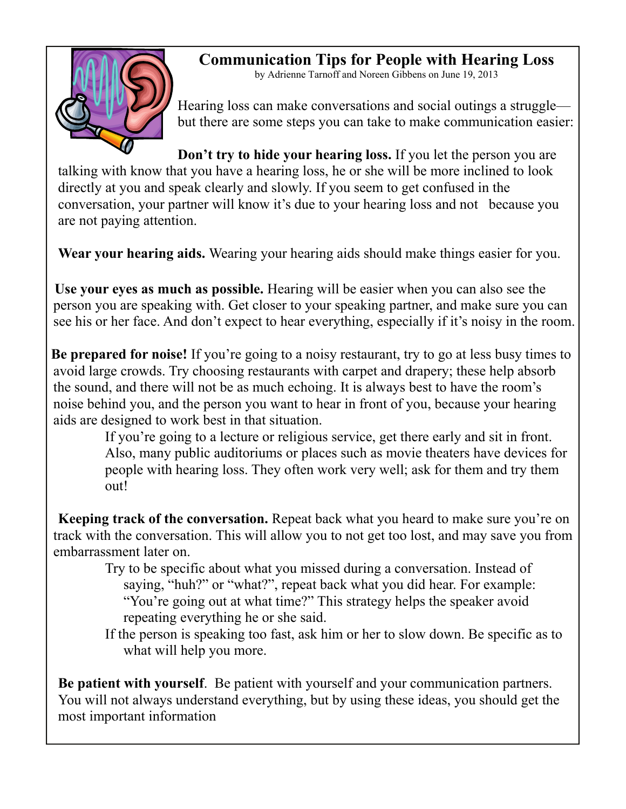

**Communication Tips for People with Hearing Loss** 

by Adrienne Tarnoff and Noreen Gibbens on June 19, 2013

Hearing loss can make conversations and social outings a struggle but there are some steps you can take to make communication easier:

**Don't try to hide your hearing loss.** If you let the person you are talking with know that you have a hearing loss, he or she will be more inclined to look directly at you and speak clearly and slowly. If you seem to get confused in the conversation, your partner will know it's due to your hearing loss and not because you are not paying attention.

**Wear your hearing aids.** Wearing your hearing aids should make things easier for you.

**Use your eyes as much as possible.** Hearing will be easier when you can also see the person you are speaking with. Get closer to your speaking partner, and make sure you can see his or her face. And don't expect to hear everything, especially if it's noisy in the room.

**Be prepared for noise!** If you're going to a noisy restaurant, try to go at less busy times to avoid large crowds. Try choosing restaurants with carpet and drapery; these help absorb the sound, and there will not be as much echoing. It is always best to have the room's noise behind you, and the person you want to hear in front of you, because your hearing aids are designed to work best in that situation.

If you're going to a lecture or religious service, get there early and sit in front. Also, many public auditoriums or places such as movie theaters have devices for people with hearing loss. They often work very well; ask for them and try them out!

 **Keeping track of the conversation.** Repeat back what you heard to make sure you're on track with the conversation. This will allow you to not get too lost, and may save you from embarrassment later on.

Try to be specific about what you missed during a conversation. Instead of saying, "huh?" or "what?", repeat back what you did hear. For example: "You're going out at what time?" This strategy helps the speaker avoid repeating everything he or she said.

If the person is speaking too fast, ask him or her to slow down. Be specific as to what will help you more.

**Be patient with yourself**. Be patient with yourself and your communication partners. You will not always understand everything, but by using these ideas, you should get the most important information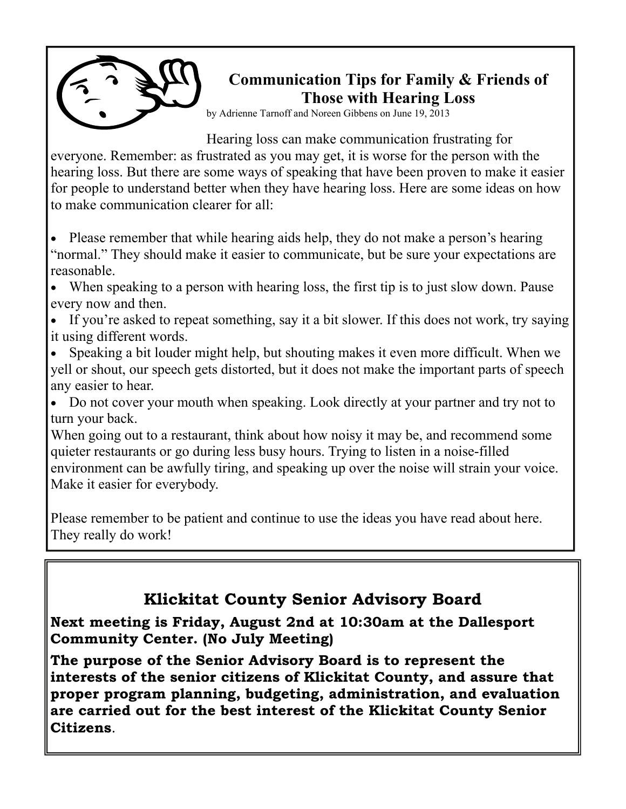

#### **Communication Tips for Family & Friends of Those with Hearing Loss**

by Adrienne Tarnoff and Noreen Gibbens on June 19, 2013

Hearing loss can make communication frustrating for everyone. Remember: as frustrated as you may get, it is worse for the person with the hearing loss. But there are some ways of speaking that have been proven to make it easier for people to understand better when they have hearing loss. Here are some ideas on how to make communication clearer for all:

• Please remember that while hearing aids help, they do not make a person's hearing "normal." They should make it easier to communicate, but be sure your expectations are reasonable.

• When speaking to a person with hearing loss, the first tip is to just slow down. Pause every now and then.

• If you're asked to repeat something, say it a bit slower. If this does not work, try saying it using different words.

• Speaking a bit louder might help, but shouting makes it even more difficult. When we yell or shout, our speech gets distorted, but it does not make the important parts of speech any easier to hear.

• Do not cover your mouth when speaking. Look directly at your partner and try not to turn your back.

When going out to a restaurant, think about how noisy it may be, and recommend some quieter restaurants or go during less busy hours. Trying to listen in a noise-filled environment can be awfully tiring, and speaking up over the noise will strain your voice. Make it easier for everybody.

Please remember to be patient and continue to use the ideas you have read about here. They really do work!

#### **Klickitat County Senior Advisory Board**

**Next meeting is Friday, August 2nd at 10:30am at the Dallesport Community Center. (No July Meeting)** 

**The purpose of the Senior Advisory Board is to represent the interests of the senior citizens of Klickitat County, and assure that proper program planning, budgeting, administration, and evaluation are carried out for the best interest of the Klickitat County Senior Citizens**.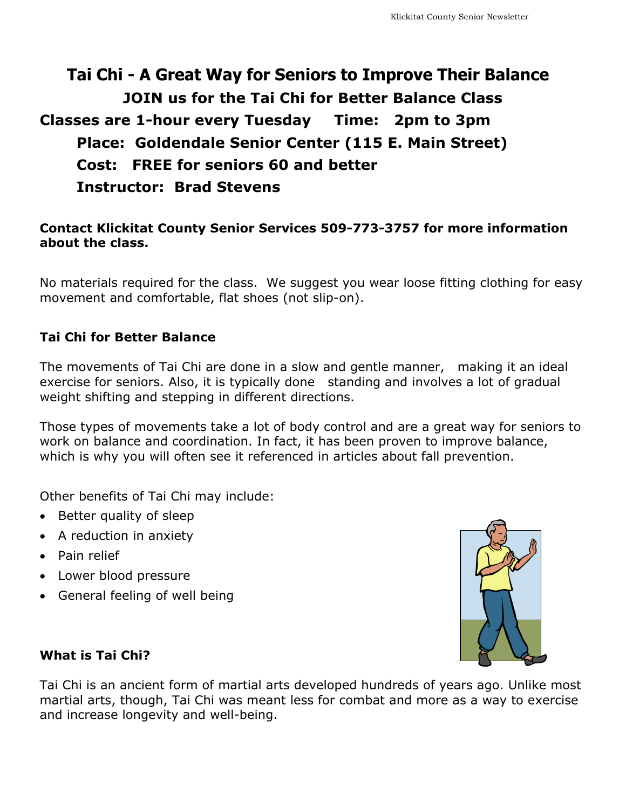#### **Tai Chi - A Great Way for Seniors to Improve Their Balance JOIN us for the Tai Chi for Better Balance Class Classes are 1-hour every Tuesday Time: 2pm to 3pm Place: Goldendale Senior Center (115 E. Main Street) Cost: FREE for seniors 60 and better Instructor: Brad Stevens**

#### **Contact Klickitat County Senior Services 509-773-3757 for more information about the class.**

No materials required for the class. We suggest you wear loose fitting clothing for easy movement and comfortable, flat shoes (not slip-on).

#### **Tai Chi for Better Balance**

The movements of Tai Chi are done in a slow and gentle manner, making it an ideal exercise for seniors. Also, it is typically done standing and involves a lot of gradual weight shifting and stepping in different directions.

Those types of movements take a lot of body control and are a great way for seniors to work on balance and coordination. In fact, it has been proven to improve balance, which is why you will often see it referenced in articles about fall prevention.

Other benefits of Tai Chi may include:

- Better quality of sleep
- A reduction in anxiety
- Pain relief
- Lower blood pressure
- General feeling of well being



#### **What is Tai Chi?**

Tai Chi is an ancient form of martial arts developed hundreds of years ago. Unlike most martial arts, though, Tai Chi was meant less for combat and more as a way to exercise and increase longevity and well-being.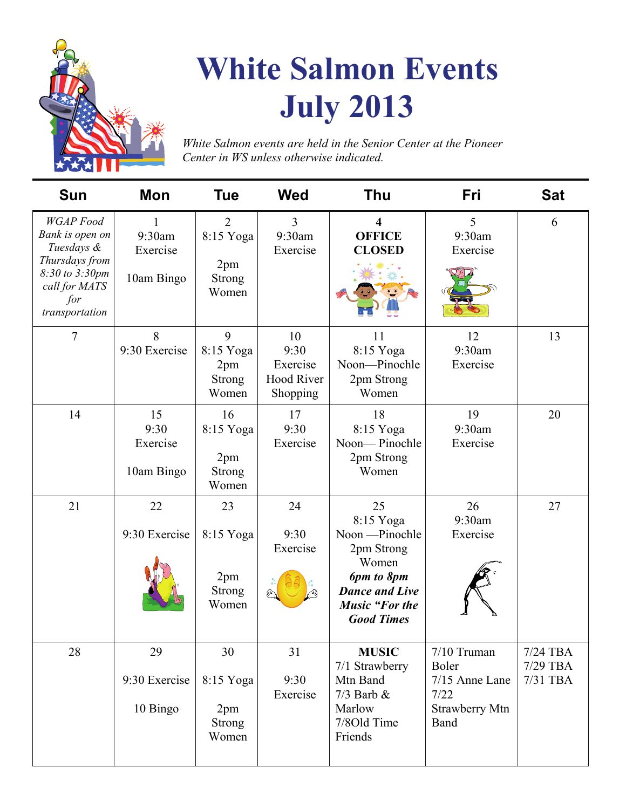

## **White Salmon Events July 2013**

*White Salmon events are held in the Senior Center at the Pioneer Center in WS unless otherwise indicated.* 

| <b>Sun</b>                                                                                                                      | Mon                                   | <b>Tue</b>                                                   | <b>Wed</b>                                       | <b>Thu</b>                                                                                                                                     | <b>Fri</b>                                                               | <b>Sat</b>                       |
|---------------------------------------------------------------------------------------------------------------------------------|---------------------------------------|--------------------------------------------------------------|--------------------------------------------------|------------------------------------------------------------------------------------------------------------------------------------------------|--------------------------------------------------------------------------|----------------------------------|
| <b>WGAP</b> Food<br>Bank is open on<br>Tuesdays &<br>Thursdays from<br>8:30 to 3:30pm<br>call for MATS<br>for<br>transportation | 1<br>9:30am<br>Exercise<br>10am Bingo | $\overline{2}$<br>8:15 Yoga<br>2pm<br><b>Strong</b><br>Women | 3<br>9:30am<br>Exercise                          | $\overline{\mathbf{4}}$<br><b>OFFICE</b><br><b>CLOSED</b>                                                                                      | 5<br>9:30am<br>Exercise                                                  | 6                                |
| $\tau$                                                                                                                          | 8<br>9:30 Exercise                    | 9<br>8:15 Yoga<br>2pm<br>Strong<br>Women                     | 10<br>9:30<br>Exercise<br>Hood River<br>Shopping | 11<br>8:15 Yoga<br>Noon-Pinochle<br>2pm Strong<br>Women                                                                                        | 12<br>9:30am<br>Exercise                                                 | 13                               |
| 14                                                                                                                              | 15<br>9:30<br>Exercise<br>10am Bingo  | 16<br>8:15 Yoga<br>2pm<br><b>Strong</b><br>Women             | 17<br>9:30<br>Exercise                           | 18<br>8:15 Yoga<br>Noon-Pinochle<br>2pm Strong<br>Women                                                                                        | 19<br>9:30am<br>Exercise                                                 | 20                               |
| 21                                                                                                                              | 22<br>9:30 Exercise                   | 23<br>8:15 Yoga<br>2pm<br>Strong<br>Women                    | 24<br>9:30<br>Exercise                           | 25<br>8:15 Yoga<br>Noon - Pinochle<br>2pm Strong<br>Women<br>6pm to 8pm<br><b>Dance and Live</b><br><b>Music "For the</b><br><b>Good Times</b> | 26<br>9:30am<br>Exercise                                                 | 27                               |
| 28                                                                                                                              | 29<br>9:30 Exercise<br>10 Bingo       | 30<br>8:15 Yoga<br>2pm<br><b>Strong</b><br>Women             | 31<br>9:30<br>Exercise                           | <b>MUSIC</b><br>7/1 Strawberry<br>Mtn Band<br>$7/3$ Barb $\&$<br>Marlow<br>7/8Old Time<br>Friends                                              | 7/10 Truman<br>Boler<br>7/15 Anne Lane<br>7/22<br>Strawberry Mtn<br>Band | 7/24 TBA<br>7/29 TBA<br>7/31 TBA |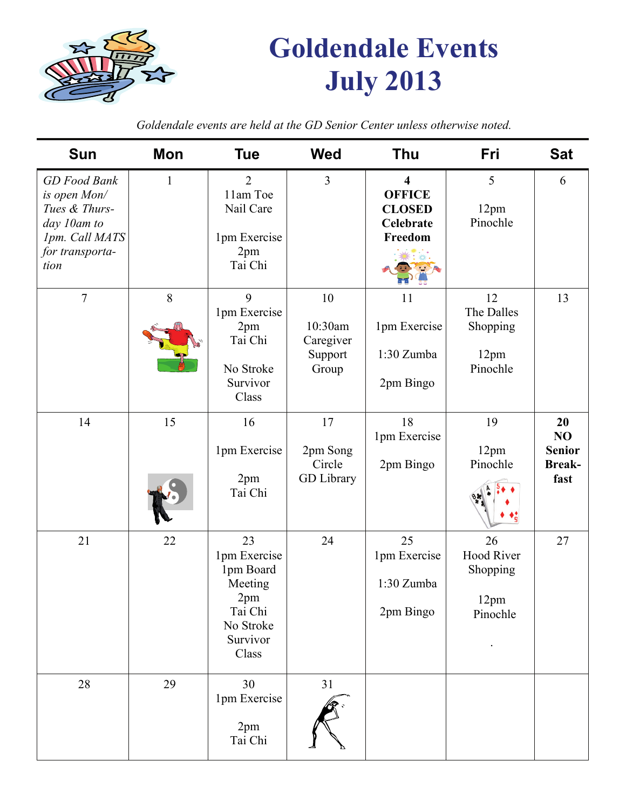

## **Goldendale Events July 2013**

**Sun Mon Tue Wed Thu Fri Sat**  *GD Food Bank is open Mon/ Tues & Thursday 10am to 1pm. Call MATS for transportation*  1 2 11am Toe Nail Care 1pm Exercise 2pm Tai Chi 3 **4 OFFICE CLOSED Celebrate Freedom**  5 12pm Pinochle 6 7 8 9 1pm Exercise 2pm Tai Chi No Stroke Survivor Class 10 10:30am Caregiver Support Group 11 1pm Exercise 1:30 Zumba 2pm Bingo 12 The Dalles Shopping 12pm Pinochle 13 14 15 16 1pm Exercise 2pm Tai Chi 17 2pm Song Circle GD Library 18 1pm Exercise 2pm Bingo 19 12pm Pinochle **20 NO Senior Breakfast**  21 22  $\vert$  23 1pm Exercise 1pm Board Meeting 2pm Tai Chi No Stroke Survivor Class 24 25 1pm Exercise 1:30 Zumba 2pm Bingo 26 Hood River Shopping 12pm Pinochle . 27 28 29 30 1pm Exercise 2pm Tai Chi 31

*Goldendale events are held at the GD Senior Center unless otherwise noted.*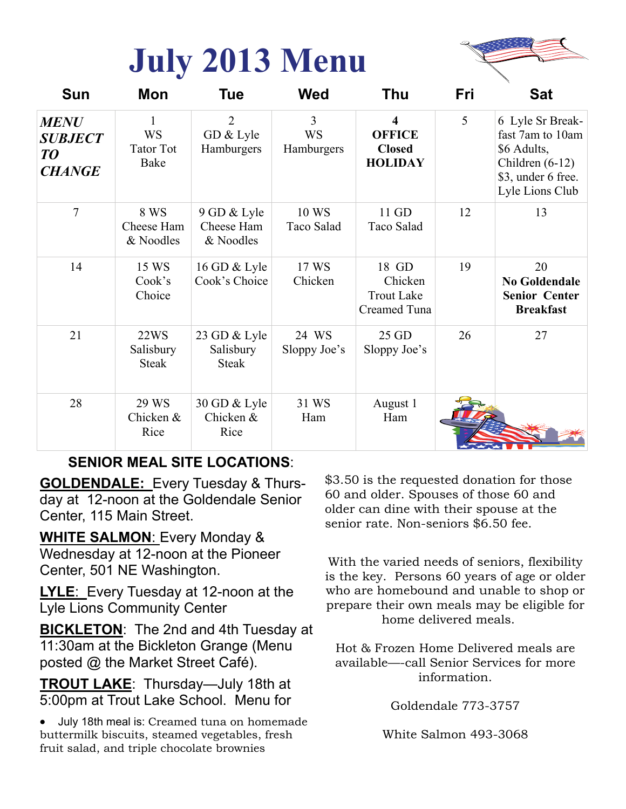## **July 2013 Menu**



| <b>Sun</b>                                           | Mon                                   | Tue                                       | <b>Wed</b>                   | <b>Thu</b>                                                           | Fri | <b>Sat</b>                                                                                                        |
|------------------------------------------------------|---------------------------------------|-------------------------------------------|------------------------------|----------------------------------------------------------------------|-----|-------------------------------------------------------------------------------------------------------------------|
| <b>MENU</b><br><b>SUBJECT</b><br>TO<br><b>CHANGE</b> | <b>WS</b><br><b>Tator Tot</b><br>Bake | $\overline{2}$<br>GD & Lyle<br>Hamburgers | 3<br><b>WS</b><br>Hamburgers | $\boldsymbol{4}$<br><b>OFFICE</b><br><b>Closed</b><br><b>HOLIDAY</b> | 5   | 6 Lyle Sr Break-<br>fast 7am to 10am<br>\$6 Adults,<br>Children $(6-12)$<br>\$3, under 6 free.<br>Lyle Lions Club |
| $\tau$                                               | 8 WS<br>Cheese Ham<br>& Noodles       | 9 GD & Lyle<br>Cheese Ham<br>& Noodles    | 10 WS<br>Taco Salad          | 11 GD<br>Taco Salad                                                  | 12  | 13                                                                                                                |
| 14                                                   | 15 WS<br>Cook's<br>Choice             | 16 GD & Lyle<br>Cook's Choice             | 17 WS<br>Chicken             | 18 GD<br>Chicken<br><b>Trout Lake</b><br>Creamed Tuna                | 19  | 20<br>No Goldendale<br><b>Senior Center</b><br><b>Breakfast</b>                                                   |
| 21                                                   | 22WS<br>Salisbury<br><b>Steak</b>     | 23 GD & Lyle<br>Salisbury<br><b>Steak</b> | 24 WS<br>Sloppy Joe's        | 25 GD<br>Sloppy Joe's                                                | 26  | 27                                                                                                                |
| 28                                                   | 29 WS<br>Chicken &<br>Rice            | 30 GD & Lyle<br>Chicken &<br>Rice         | 31 WS<br>Ham                 | August 1<br>Ham                                                      |     |                                                                                                                   |

#### **SENIOR MEAL SITE LOCATIONS**:

**GOLDENDALE:** Every Tuesday & Thursday at 12-noon at the Goldendale Senior Center, 115 Main Street.

**WHITE SALMON**: Every Monday & Wednesday at 12-noon at the Pioneer Center, 501 NE Washington.

**LYLE**: Every Tuesday at 12-noon at the Lyle Lions Community Center

**BICKLETON**: The 2nd and 4th Tuesday at 11:30am at the Bickleton Grange (Menu posted @ the Market Street Café).

**TROUT LAKE**: Thursday—July 18th at 5:00pm at Trout Lake School. Menu for

• July 18th meal is: Creamed tuna on homemade buttermilk biscuits, steamed vegetables, fresh fruit salad, and triple chocolate brownies

\$3.50 is the requested donation for those 60 and older. Spouses of those 60 and older can dine with their spouse at the senior rate. Non-seniors \$6.50 fee.

With the varied needs of seniors, flexibility is the key. Persons 60 years of age or older who are homebound and unable to shop or prepare their own meals may be eligible for home delivered meals.

Hot & Frozen Home Delivered meals are available—-call Senior Services for more information.

Goldendale 773-3757

White Salmon 493-3068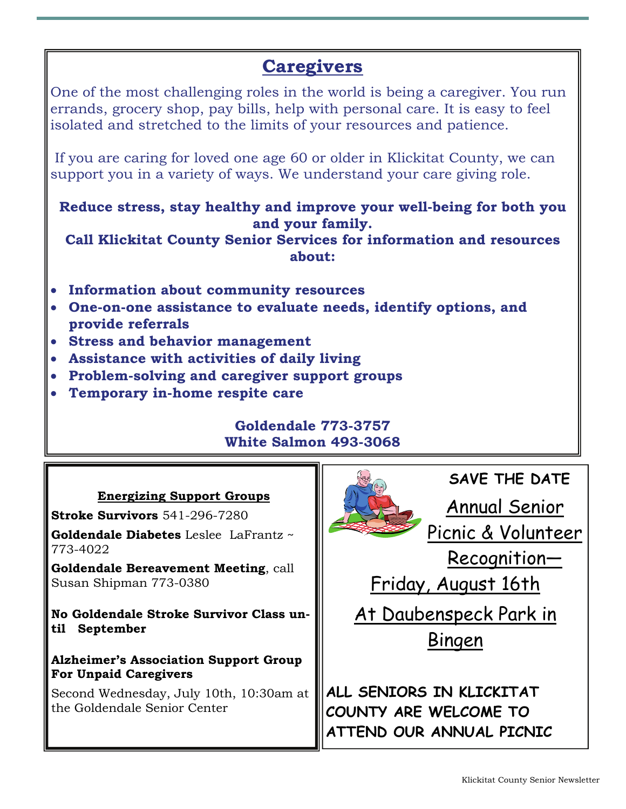#### **Caregivers**

One of the most challenging roles in the world is being a caregiver. You run errands, grocery shop, pay bills, help with personal care. It is easy to feel isolated and stretched to the limits of your resources and patience.

 If you are caring for loved one age 60 or older in Klickitat County, we can support you in a variety of ways. We understand your care giving role.

**Reduce stress, stay healthy and improve your well-being for both you and your family.** 

**Call Klickitat County Senior Services for information and resources about:** 

- **Information about community resources**
- **One-on-one assistance to evaluate needs, identify options, and provide referrals**
- **Stress and behavior management**
- **Assistance with activities of daily living**
- **Problem-solving and caregiver support groups**
- **Temporary in-home respite care**

#### **Goldendale 773-3757 White Salmon 493-3068**

#### **Energizing Support Groups**

**Stroke Survivors** 541-296-7280

**Goldendale Diabetes** Leslee LaFrantz ~ 773-4022

**Goldendale Bereavement Meeting**, call Susan Shipman 773-0380

**No Goldendale Stroke Survivor Class until September** 

#### **Alzheimer's Association Support Group For Unpaid Caregivers**

Second Wednesday, July 10th, 10:30am at the Goldendale Senior Center

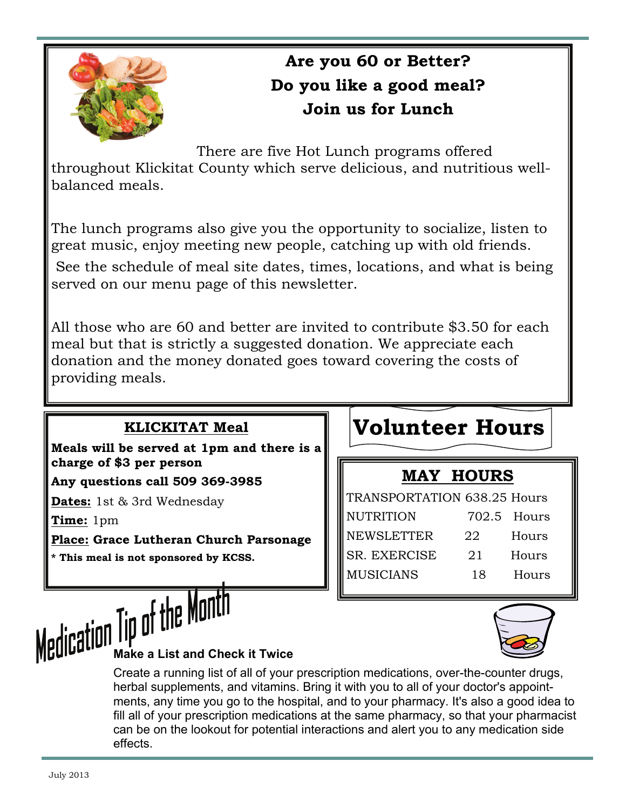

#### **Are you 60 or Better? Do you like a good meal? Join us for Lunch**

There are five Hot Lunch programs offered

throughout Klickitat County which serve delicious, and nutritious wellbalanced meals.

The lunch programs also give you the opportunity to socialize, listen to great music, enjoy meeting new people, catching up with old friends.

 See the schedule of meal site dates, times, locations, and what is being served on our menu page of this newsletter.

All those who are 60 and better are invited to contribute \$3.50 for each meal but that is strictly a suggested donation. We appreciate each donation and the money donated goes toward covering the costs of providing meals.

#### **KLICKITAT Meal**

**Meals will be served at 1pm and there is a charge of \$3 per person** 

**Any questions call 509 369-3985** 

**Dates:** 1st & 3rd Wednesday

**Time:** 1pm

**Place: Grace Lutheran Church Parsonage** 

**\* This meal is not sponsored by KCSS.** 

### **Volunteer Hours**

#### **MAY HOURS**

| <b>TRANSPORTATION 638.25 Hours</b> |    |             |  |  |  |
|------------------------------------|----|-------------|--|--|--|
| <b>NUTRITION</b>                   |    | 702.5 Hours |  |  |  |
| <b>NEWSLETTER</b>                  | 22 | Hours       |  |  |  |
| SR. EXERCISE                       | 21 | Hours       |  |  |  |
| <b>MUSICIANS</b>                   | 18 | Hours       |  |  |  |



# **Medication Tip of the Month**

Create a running list of all of your prescription medications, over-the-counter drugs, herbal supplements, and [vitamins](http://www.everydayhealth.com/diet-nutrition/vitamins-meds.aspx). Bring it with you to all of your doctor's appointments, any time you go to the hospital, and to your pharmacy. It's also a good idea to fill all of your prescription medications at the same pharmacy, so that your pharmacist can be on the lookout for potential interactions and alert you to any medication side effects.